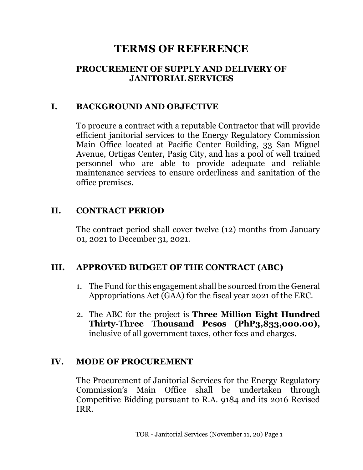# **TERMS OF REFERENCE**

#### **PROCUREMENT OF SUPPLY AND DELIVERY OF JANITORIAL SERVICES**

#### **I. BACKGROUND AND OBJECTIVE**

To procure a contract with a reputable Contractor that will provide efficient janitorial services to the Energy Regulatory Commission Main Office located at Pacific Center Building, 33 San Miguel Avenue, Ortigas Center, Pasig City, and has a pool of well trained personnel who are able to provide adequate and reliable maintenance services to ensure orderliness and sanitation of the office premises.

#### **II. CONTRACT PERIOD**

The contract period shall cover twelve (12) months from January 01, 2021 to December 31, 2021.

#### **III. APPROVED BUDGET OF THE CONTRACT (ABC)**

- 1. The Fund for this engagement shall be sourced from the General Appropriations Act (GAA) for the fiscal year 2021 of the ERC.
- 2. The ABC for the project is **Three Million Eight Hundred Thirty-Three Thousand Pesos (PhP3,833,000.00),** inclusive of all government taxes, other fees and charges.

#### **IV. MODE OF PROCUREMENT**

The Procurement of Janitorial Services for the Energy Regulatory Commission's Main Office shall be undertaken through Competitive Bidding pursuant to R.A. 9184 and its 2016 Revised IRR.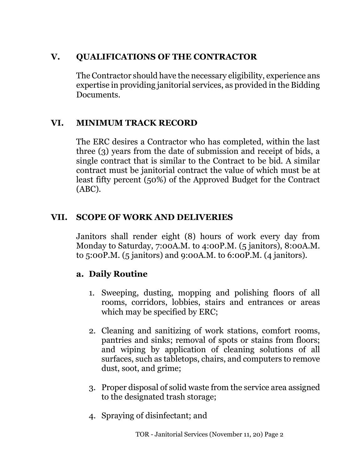# **V. QUALIFICATIONS OF THE CONTRACTOR**

The Contractor should have the necessary eligibility, experience ans expertise in providing janitorial services, as provided in the Bidding Documents.

## **VI. MINIMUM TRACK RECORD**

The ERC desires a Contractor who has completed, within the last three (3) years from the date of submission and receipt of bids, a single contract that is similar to the Contract to be bid. A similar contract must be janitorial contract the value of which must be at least fifty percent (50%) of the Approved Budget for the Contract (ABC).

## **VII. SCOPE OF WORK AND DELIVERIES**

Janitors shall render eight (8) hours of work every day from Monday to Saturday, 7:00A.M. to 4:00P.M. (5 janitors), 8:00A.M. to 5:00P.M. (5 janitors) and 9:00A.M. to 6:00P.M. (4 janitors).

## **a. Daily Routine**

- 1. Sweeping, dusting, mopping and polishing floors of all rooms, corridors, lobbies, stairs and entrances or areas which may be specified by ERC;
- 2. Cleaning and sanitizing of work stations, comfort rooms, pantries and sinks; removal of spots or stains from floors; and wiping by application of cleaning solutions of all surfaces, such as tabletops, chairs, and computers to remove dust, soot, and grime;
- 3. Proper disposal of solid waste from the service area assigned to the designated trash storage;
- 4. Spraying of disinfectant; and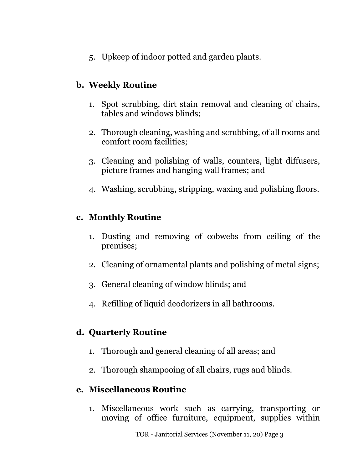5. Upkeep of indoor potted and garden plants.

## **b. Weekly Routine**

- 1. Spot scrubbing, dirt stain removal and cleaning of chairs, tables and windows blinds;
- 2. Thorough cleaning, washing and scrubbing, of all rooms and comfort room facilities;
- 3. Cleaning and polishing of walls, counters, light diffusers, picture frames and hanging wall frames; and
- 4. Washing, scrubbing, stripping, waxing and polishing floors.

#### **c. Monthly Routine**

- 1. Dusting and removing of cobwebs from ceiling of the premises;
- 2. Cleaning of ornamental plants and polishing of metal signs;
- 3. General cleaning of window blinds; and
- 4. Refilling of liquid deodorizers in all bathrooms.

# **d. Quarterly Routine**

- 1. Thorough and general cleaning of all areas; and
- 2. Thorough shampooing of all chairs, rugs and blinds.

## **e. Miscellaneous Routine**

1. Miscellaneous work such as carrying, transporting or moving of office furniture, equipment, supplies within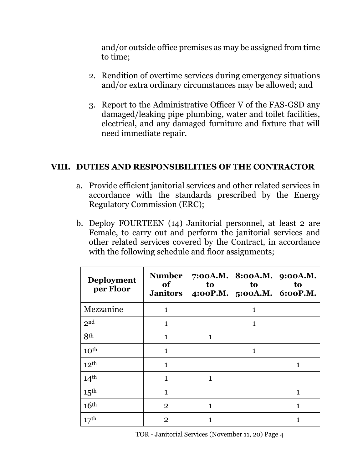and/or outside office premises as may be assigned from time to time;

- 2. Rendition of overtime services during emergency situations and/or extra ordinary circumstances may be allowed; and
- 3. Report to the Administrative Officer V of the FAS-GSD any damaged/leaking pipe plumbing, water and toilet facilities, electrical, and any damaged furniture and fixture that will need immediate repair.

#### **VIII. DUTIES AND RESPONSIBILITIES OF THE CONTRACTOR**

- a. Provide efficient janitorial services and other related services in accordance with the standards prescribed by the Energy Regulatory Commission (ERC);
- b. Deploy FOURTEEN (14) Janitorial personnel, at least 2 are Female, to carry out and perform the janitorial services and other related services covered by the Contract, in accordance with the following schedule and floor assignments;

| <b>Deployment</b><br>per Floor | <b>Number</b><br>of<br><b>Janitors</b> | 7:00A.M.<br>to<br>4:00P.M. | 8:00A.M.<br>to<br>$5:OOA.M.$ 6:00P.M. | 9:00A.M.<br>to |
|--------------------------------|----------------------------------------|----------------------------|---------------------------------------|----------------|
| Mezzanine                      | $\mathbf{1}$                           |                            | 1                                     |                |
| 2 <sup>nd</sup>                | $\mathbf{1}$                           |                            | 1                                     |                |
| 8 <sup>th</sup>                | $\mathbf{1}$                           | 1                          |                                       |                |
| 10 <sup>th</sup>               | $\mathbf 1$                            |                            | 1                                     |                |
| 12 <sup>th</sup>               | $\mathbf 1$                            |                            |                                       | 1              |
| 14 <sup>th</sup>               | $\mathbf{1}$                           | $\mathbf{1}$               |                                       |                |
| $15^{\text{th}}$               | $\mathbf{1}$                           |                            |                                       | 1              |
| 16 <sup>th</sup>               | $\overline{2}$                         | $\mathbf{1}$               |                                       | 1              |
| 17 <sup>th</sup>               | $\overline{2}$                         | 1                          |                                       | 1              |

TOR - Janitorial Services (November 11, 20) Page 4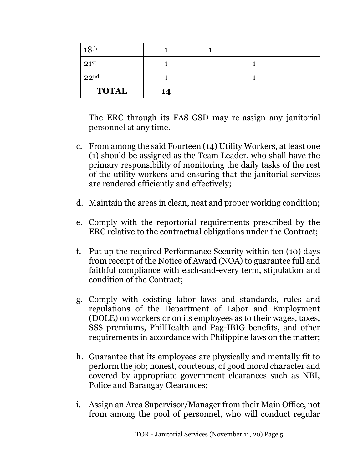| 18 <sup>th</sup> |    |  |  |
|------------------|----|--|--|
| 21 <sup>st</sup> |    |  |  |
| 22 <sup>nd</sup> |    |  |  |
| <b>TOTAL</b>     | 14 |  |  |

The ERC through its FAS-GSD may re-assign any janitorial personnel at any time.

- c. From among the said Fourteen (14) Utility Workers, at least one (1) should be assigned as the Team Leader, who shall have the primary responsibility of monitoring the daily tasks of the rest of the utility workers and ensuring that the janitorial services are rendered efficiently and effectively;
- d. Maintain the areas in clean, neat and proper working condition;
- e. Comply with the reportorial requirements prescribed by the ERC relative to the contractual obligations under the Contract;
- f. Put up the required Performance Security within ten (10) days from receipt of the Notice of Award (NOA) to guarantee full and faithful compliance with each-and-every term, stipulation and condition of the Contract;
- g. Comply with existing labor laws and standards, rules and regulations of the Department of Labor and Employment (DOLE) on workers or on its employees as to their wages, taxes, SSS premiums, PhilHealth and Pag-IBIG benefits, and other requirements in accordance with Philippine laws on the matter;
- h. Guarantee that its employees are physically and mentally fit to perform the job; honest, courteous, of good moral character and covered by appropriate government clearances such as NBI, Police and Barangay Clearances;
- i. Assign an Area Supervisor/Manager from their Main Office, not from among the pool of personnel, who will conduct regular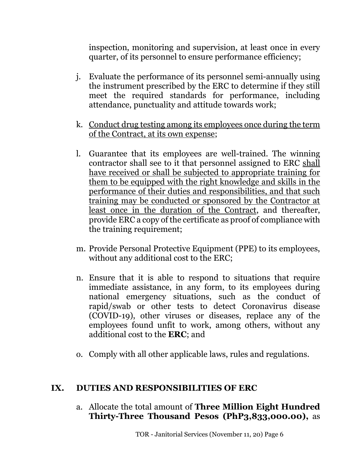inspection, monitoring and supervision, at least once in every quarter, of its personnel to ensure performance efficiency;

- j. Evaluate the performance of its personnel semi-annually using the instrument prescribed by the ERC to determine if they still meet the required standards for performance, including attendance, punctuality and attitude towards work;
- k. Conduct drug testing among its employees once during the term of the Contract, at its own expense;
- l. Guarantee that its employees are well-trained. The winning contractor shall see to it that personnel assigned to ERC shall have received or shall be subjected to appropriate training for them to be equipped with the right knowledge and skills in the performance of their duties and responsibilities, and that such training may be conducted or sponsored by the Contractor at least once in the duration of the Contract, and thereafter, provide ERC a copy of the certificate as proof of compliance with the training requirement;
- m. Provide Personal Protective Equipment (PPE) to its employees, without any additional cost to the ERC;
- n. Ensure that it is able to respond to situations that require immediate assistance, in any form, to its employees during national emergency situations, such as the conduct of rapid/swab or other tests to detect Coronavirus disease (COVID-19), other viruses or diseases, replace any of the employees found unfit to work, among others, without any additional cost to the **ERC**; and
- o. Comply with all other applicable laws, rules and regulations.

#### **IX. DUTIES AND RESPONSIBILITIES OF ERC**

a. Allocate the total amount of **Three Million Eight Hundred Thirty-Three Thousand Pesos (PhP3,833,000.00),** as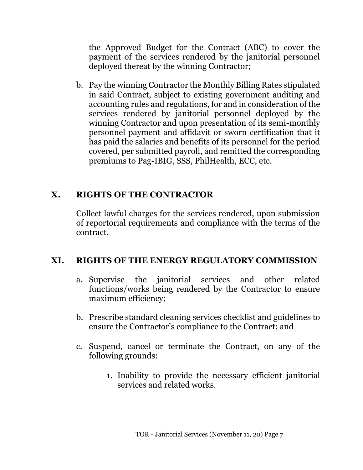the Approved Budget for the Contract (ABC) to cover the payment of the services rendered by the janitorial personnel deployed thereat by the winning Contractor;

b. Pay the winning Contractor the Monthly Billing Rates stipulated in said Contract, subject to existing government auditing and accounting rules and regulations, for and in consideration of the services rendered by janitorial personnel deployed by the winning Contractor and upon presentation of its semi-monthly personnel payment and affidavit or sworn certification that it has paid the salaries and benefits of its personnel for the period covered, per submitted payroll, and remitted the corresponding premiums to Pag-IBIG, SSS, PhilHealth, ECC, etc.

## **X. RIGHTS OF THE CONTRACTOR**

Collect lawful charges for the services rendered, upon submission of reportorial requirements and compliance with the terms of the contract.

#### **XI. RIGHTS OF THE ENERGY REGULATORY COMMISSION**

- a. Supervise the janitorial services and other related functions/works being rendered by the Contractor to ensure maximum efficiency;
- b. Prescribe standard cleaning services checklist and guidelines to ensure the Contractor's compliance to the Contract; and
- c. Suspend, cancel or terminate the Contract, on any of the following grounds:
	- 1. Inability to provide the necessary efficient janitorial services and related works.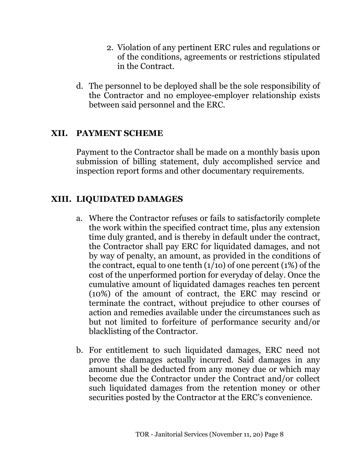- 2. Violation of any pertinent ERC rules and regulations or of the conditions, agreements or restrictions stipulated in the Contract.
- d. The personnel to be deployed shall be the sole responsibility of the Contractor and no employee-employer relationship exists between said personnel and the ERC.

#### **XII. PAYMENT SCHEME**

Payment to the Contractor shall be made on a monthly basis upon submission of billing statement, duly accomplished service and inspection report forms and other documentary requirements.

## **XIII. LIQUIDATED DAMAGES**

- a. Where the Contractor refuses or fails to satisfactorily complete the work within the specified contract time, plus any extension time duly granted, and is thereby in default under the contract, the Contractor shall pay ERC for liquidated damages, and not by way of penalty, an amount, as provided in the conditions of the contract, equal to one tenth (1/1o) of one percent (1%) of the cost of the unperformed portion for everyday of delay. Once the cumulative amount of liquidated damages reaches ten percent (10%) of the amount of contract, the ERC may rescind or terminate the contract, without prejudice to other courses of action and remedies available under the circumstances such as but not limited to forfeiture of performance security and/or blacklisting of the Contractor.
- b. For entitlement to such liquidated damages, ERC need not prove the damages actually incurred. Said damages in any amount shall be deducted from any money due or which may become due the Contractor under the Contract and/or collect such liquidated damages from the retention money or other securities posted by the Contractor at the ERC's convenience.